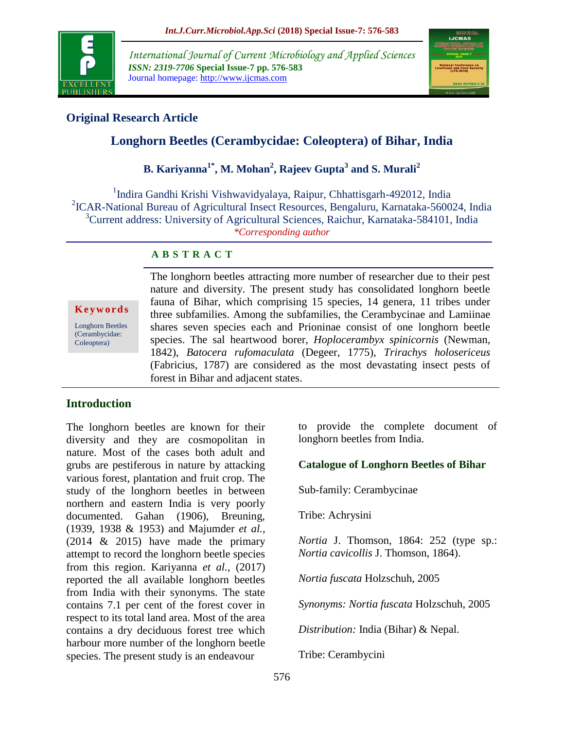

*International Journal of Current Microbiology and Applied Sciences ISSN: 2319-7706* **Special Issue-7 pp. 576-583** Journal homepage: http://www.ijcmas.com



## **Original Research Article**

# **Longhorn Beetles (Cerambycidae: Coleoptera) of Bihar, India**

**B. Kariyanna1\*, M. Mohan<sup>2</sup> , Rajeev Gupta<sup>3</sup> and S. Murali<sup>2</sup>**

<sup>1</sup>Indira Gandhi Krishi Vishwavidyalaya, Raipur, Chhattisgarh-492012, India 2 ICAR-National Bureau of Agricultural Insect Resources, Bengaluru, Karnataka-560024, India <sup>3</sup>Current address: University of Agricultural Sciences, Raichur, Karnataka-584101, India *\*Corresponding author*

### **A B S T R A C T**

**K e y w o r d s** Longhorn Beetles

(Cerambycidae: Coleoptera)

The longhorn beetles attracting more number of researcher due to their pest nature and diversity. The present study has consolidated longhorn beetle fauna of Bihar, which comprising 15 species, 14 genera, 11 tribes under three subfamilies. Among the subfamilies, the Cerambycinae and Lamiinae shares seven species each and Prioninae consist of one longhorn beetle species. The sal heartwood borer, *Hoplocerambyx spinicornis* (Newman, 1842), *Batocera rufomaculata* (Degeer, 1775), *Trirachys holosericeus* (Fabricius, 1787) are considered as the most devastating insect pests of forest in Bihar and adjacent states.

### **Introduction**

The longhorn beetles are known for their diversity and they are cosmopolitan in nature. Most of the cases both adult and grubs are pestiferous in nature by attacking various forest, plantation and fruit crop. The study of the longhorn beetles in between northern and eastern India is very poorly documented. Gahan (1906), Breuning, (1939, 1938 & 1953) and Majumder *et al.,*  (2014 & 2015) have made the primary attempt to record the longhorn beetle species from this region. Kariyanna *et al.,* (2017) reported the all available longhorn beetles from India with their synonyms. The state contains 7.1 per cent of the forest cover in respect to its total land area. Most of the area contains a dry deciduous forest tree which harbour more number of the longhorn beetle species. The present study is an endeavour

to provide the complete document of longhorn beetles from India.

### **Catalogue of Longhorn Beetles of Bihar**

Sub-family: Cerambycinae

Tribe: Achrysini

*Nortia* J. Thomson, 1864: 252 (type sp.: *Nortia cavicollis* J. Thomson, 1864).

*Nortia fuscata* Holzschuh, 2005

*Synonyms: Nortia fuscata* Holzschuh, 2005

*Distribution:* India (Bihar) & Nepal.

Tribe: Cerambycini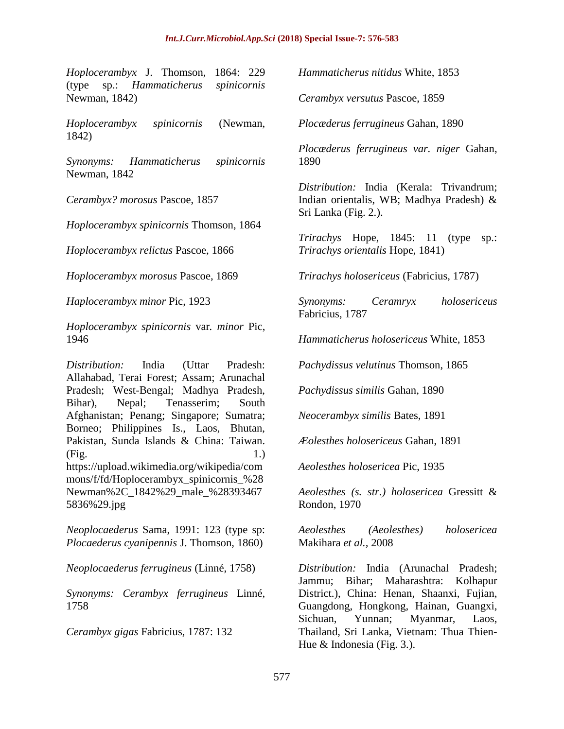*Hoplocerambyx* J. Thomson, 1864: 229 (type sp.: *Hammaticherus spinicornis* Newman, 1842)

*Hoplocerambyx spinicornis* (Newman, 1842)

*Synonyms: Hammaticherus spinicornis* Newman, 1842

*Cerambyx? morosus* Pascoe, 1857

*Hoplocerambyx spinicornis* Thomson, 1864

*Hoplocerambyx relictus* Pascoe, 1866

*Hoplocerambyx morosus* Pascoe, 1869

*Haplocerambyx minor* Pic, 1923

*Hoplocerambyx spinicornis* var*. minor* Pic, 1946

*Distribution:* India (Uttar Pradesh: Allahabad, Terai Forest; Assam; Arunachal Pradesh; West-Bengal; Madhya Pradesh, Bihar), Nepal; Tenasserim; South Afghanistan; Penang; Singapore; Sumatra; Borneo; Philippines Is., Laos, Bhutan, Pakistan, Sunda Islands & China: Taiwan. (Fig. 1.) https://upload.wikimedia.org/wikipedia/com mons/f/fd/Hoplocerambyx\_spinicornis\_%28 Newman%2C\_1842%29\_male\_%28393467 5836%29.jpg

*Neoplocaederus* Sama, 1991: 123 (type sp: *Plocaederus cyanipennis* J. Thomson, 1860)

*Neoplocaederus ferrugineus* (Linné, 1758)

*Synonyms: Cerambyx ferrugineus* Linné, 1758

*Cerambyx gigas* Fabricius, 1787: 132

*Hammaticherus nitidus* White, 1853

*Cerambyx versutus* Pascoe, 1859

*Plocæderus ferrugineus* Gahan, 1890

*Plocæderus ferrugineus var. niger* Gahan, 1890

*Distribution:* India (Kerala: Trivandrum; Indian orientalis, WB; Madhya Pradesh) & Sri Lanka (Fig. 2.).

*Trirachys* Hope, 1845: 11 (type sp.: *Trirachys orientalis* Hope, 1841)

*Trirachys holosericeus* (Fabricius, 1787)

*Synonyms: Ceramryx holosericeus* Fabricius, 1787

*Hammaticherus holosericeus* White, 1853

*Pachydissus velutinus* Thomson, 1865

*Pachydissus similis* Gahan, 1890

*Neocerambyx similis* Bates, 1891

*Æolesthes holosericeus* Gahan, 1891

*Aeolesthes holosericea* Pic, 1935

*Aeolesthes (s. str.) holosericea* Gressitt & Rondon, 1970

*Aeolesthes (Aeolesthes) holosericea*  Makihara *et al.,* 2008

*Distribution:* India (Arunachal Pradesh; Jammu; Bihar; Maharashtra: Kolhapur District.), China: Henan, Shaanxi, Fujian, Guangdong, Hongkong, Hainan, Guangxi, Sichuan, Yunnan; Myanmar, Laos, Thailand, Sri Lanka, Vietnam: Thua Thien-Hue & Indonesia (Fig. 3.).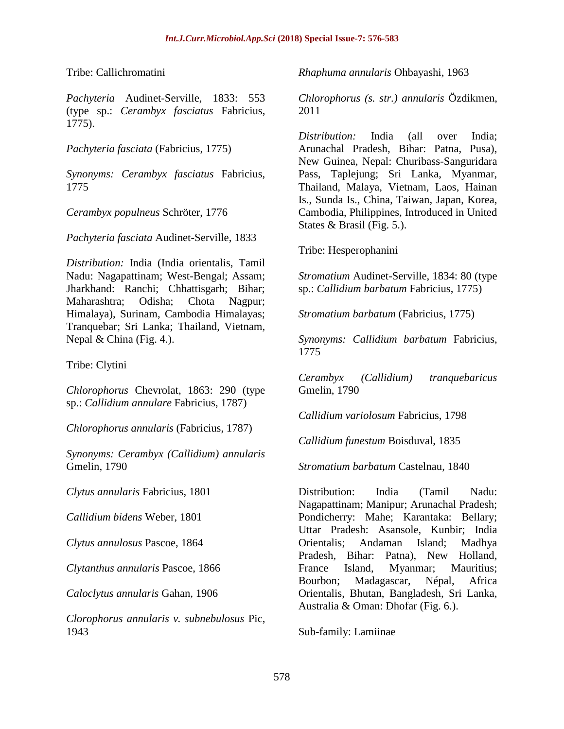Tribe: Callichromatini

*Pachyteria* Audinet-Serville, 1833: 553 (type sp.: *Cerambyx fasciatus* Fabricius, 1775).

*Pachyteria fasciata* (Fabricius, 1775)

*Synonyms: Cerambyx fasciatus* Fabricius, 1775

*Cerambyx populneus* Schröter, 1776

*Pachyteria fasciata* Audinet-Serville, 1833

*Distribution:* India (India orientalis, Tamil Nadu: Nagapattinam; West-Bengal; Assam; Jharkhand: Ranchi; Chhattisgarh; Bihar; Maharashtra; Odisha; Chota Nagpur; Himalaya), Surinam, Cambodia Himalayas; Tranquebar; Sri Lanka; Thailand, Vietnam, Nepal & China (Fig. 4.).

Tribe: Clytini

*Chlorophorus* Chevrolat, 1863: 290 (type sp.: *Callidium annulare* Fabricius, 1787)

*Chlorophorus annularis* (Fabricius, 1787)

*Synonyms: Cerambyx (Callidium) annularis* Gmelin, 1790

*Clytus annularis* Fabricius, 1801

*Callidium bidens* Weber, 1801

*Clytus annulosus* Pascoe, 1864

*Clytanthus annularis* Pascoe, 1866

*Caloclytus annularis* Gahan, 1906

*Clorophorus annularis v. subnebulosus* Pic, 1943

*Rhaphuma annularis* Ohbayashi, 1963

*Chlorophorus (s. str.) annularis* Özdikmen, 2011

*Distribution:* India (all over India; Arunachal Pradesh, Bihar: Patna, Pusa), New Guinea, Nepal: Churibass-Sanguridara Pass, Taplejung; Sri Lanka, Myanmar, Thailand, Malaya, Vietnam, Laos, Hainan Is., Sunda Is., China, Taiwan, Japan, Korea, Cambodia, Philippines, Introduced in United States & Brasil (Fig. 5.).

Tribe: Hesperophanini

*Stromatium* Audinet-Serville, 1834: 80 (type sp.: *Callidium barbatum* Fabricius, 1775)

*Stromatium barbatum* (Fabricius, 1775)

*Synonyms: Callidium barbatum* Fabricius, 1775

*Cerambyx (Callidium) tranquebaricus* Gmelin, 1790

*Callidium variolosum* Fabricius, 1798

*Callidium funestum* Boisduval, 1835

*Stromatium barbatum* Castelnau, 1840

Distribution: India (Tamil Nadu: Nagapattinam; Manipur; Arunachal Pradesh; Pondicherry: Mahe; Karantaka: Bellary; Uttar Pradesh: Asansole, Kunbir; India Orientalis; Andaman Island; Madhya Pradesh, Bihar: Patna), New Holland, France Island, Myanmar; Mauritius; Bourbon; Madagascar, Népal, Africa Orientalis, Bhutan, Bangladesh, Sri Lanka, Australia & Oman: Dhofar (Fig. 6.).

Sub-family: Lamiinae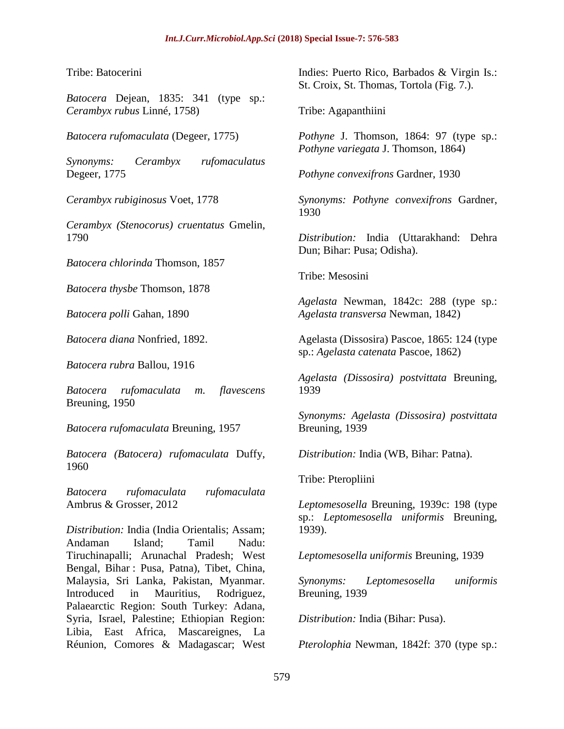Tribe: Batocerini

*Batocera* Dejean, 1835: 341 (type sp.: *Cerambyx rubus* Linné, 1758)

*Batocera rufomaculata* (Degeer, 1775)

*Synonyms: Cerambyx rufomaculatus* Degeer, 1775

*Cerambyx rubiginosus* Voet, 1778

*Cerambyx (Stenocorus) cruentatus* Gmelin, 1790

*Batocera chlorinda* Thomson, 1857

*Batocera thysbe* Thomson, 1878

*Batocera polli* Gahan, 1890

*Batocera diana* Nonfried, 1892.

*Batocera rubra* Ballou, 1916

*Batocera rufomaculata m. flavescens* Breuning, 1950

*Batocera rufomaculata* Breuning, 1957

*Batocera (Batocera) rufomaculata* Duffy, 1960

*Batocera rufomaculata rufomaculata* Ambrus & Grosser, 2012

*Distribution:* India (India Orientalis; Assam; Andaman Island; Tamil Nadu: Tiruchinapalli; Arunachal Pradesh; West Bengal, Bihar : Pusa, Patna), Tibet, China, Malaysia, Sri Lanka, Pakistan, Myanmar. Introduced in Mauritius, Rodriguez, Palaearctic Region: South Turkey: Adana, Syria, Israel, Palestine; Ethiopian Region: Libia, East Africa, Mascareignes, La Réunion, Comores & Madagascar; West

Indies: Puerto Rico, Barbados & Virgin Is.: St. Croix, St. Thomas, Tortola (Fig. 7.).

Tribe: Agapanthiini

*Pothyne* J. Thomson, 1864: 97 (type sp.: *Pothyne variegata* J. Thomson, 1864)

*Pothyne convexifrons* Gardner, 1930

*Synonyms: Pothyne convexifrons* Gardner, 1930

*Distribution:* India (Uttarakhand: Dehra Dun; Bihar: Pusa; Odisha).

Tribe: Mesosini

*Agelasta* Newman, 1842c: 288 (type sp.: *Agelasta transversa* Newman, 1842)

Agelasta (Dissosira) Pascoe, 1865: 124 (type sp.: *Agelasta catenata* Pascoe, 1862)

*Agelasta (Dissosira) postvittata* Breuning, 1939

*Synonyms: Agelasta (Dissosira) postvittata* Breuning, 1939

*Distribution:* India (WB, Bihar: Patna).

Tribe: Pteropliini

*Leptomesosella* Breuning, 1939c: 198 (type sp.: *Leptomesosella uniformis* Breuning, 1939).

*Leptomesosella uniformis* Breuning, 1939

*Synonyms: Leptomesosella uniformis* Breuning, 1939

*Distribution:* India (Bihar: Pusa).

*Pterolophia* Newman, 1842f: 370 (type sp.: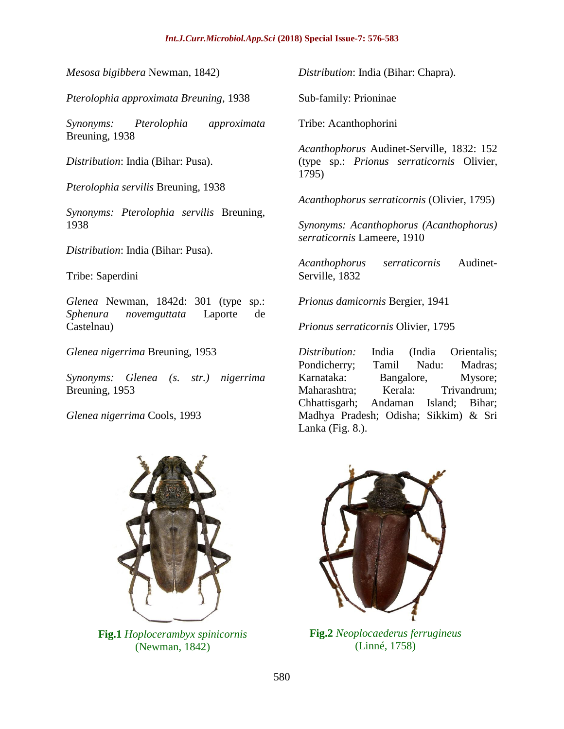#### *Int.J.Curr.Microbiol.App.Sci* **(2018) Special Issue-7: 576-583**

*Mesosa bigibbera* Newman, 1842)

*Pterolophia approximata Breuning*, 1938

*Synonyms: Pterolophia approximata* Breuning, 1938

*Distribution*: India (Bihar: Pusa).

*Pterolophia servilis* Breuning, 1938

*Synonyms: Pterolophia servilis* Breuning, 1938

*Distribution*: India (Bihar: Pusa).

Tribe: Saperdini

*Glenea* Newman, 1842d: 301 (type sp.: *Sphenura novemguttata* Laporte de Castelnau)

*Glenea nigerrima* Breuning, 1953

*Synonyms: Glenea (s. str.) nigerrima* Breuning, 1953

*Glenea nigerrima* Cools, 1993

*Distribution*: India (Bihar: Chapra).

Sub-family: Prioninae

Tribe: Acanthophorini

*Acanthophorus* Audinet-Serville, 1832: 152 (type sp.: *Prionus serraticornis* Olivier, 1795)

*Acanthophorus serraticornis* (Olivier, 1795)

*Synonyms: Acanthophorus (Acanthophorus) serraticornis* Lameere, 1910

*Acanthophorus serraticornis* Audinet-Serville, 1832

*Prionus damicornis* Bergier, 1941

*Prionus serraticornis* Olivier, 1795

*Distribution:* India (India Orientalis; Pondicherry; Tamil Nadu: Madras; Karnataka: Bangalore, Mysore; Maharashtra; Kerala: Trivandrum; Chhattisgarh; Andaman Island; Bihar; Madhya Pradesh; Odisha; Sikkim) & Sri Lanka (Fig. 8.).



**Fig.1** *Hoplocerambyx spinicornis* (Newman, 1842)



**Fig.2** *Neoplocaederus ferrugineus* (Linné, 1758)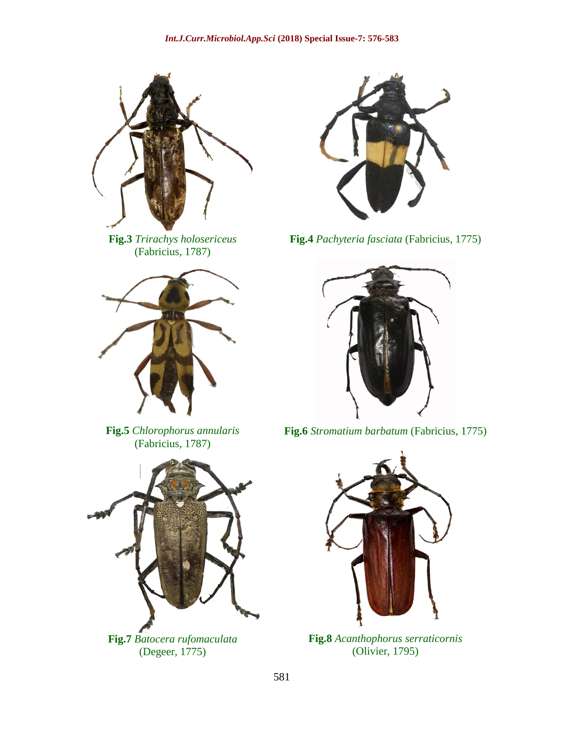

**Fig.3** *Trirachys holosericeus* (Fabricius, 1787)



**Fig.5** *Chlorophorus annularis* (Fabricius, 1787)



**Fig.7** *Batocera rufomaculata* (Degeer, 1775)



**Fig.4** *Pachyteria fasciata* (Fabricius, 1775)



**Fig.6** *Stromatium barbatum* (Fabricius, 1775)



**Fig.8** *Acanthophorus serraticornis* (Olivier, 1795)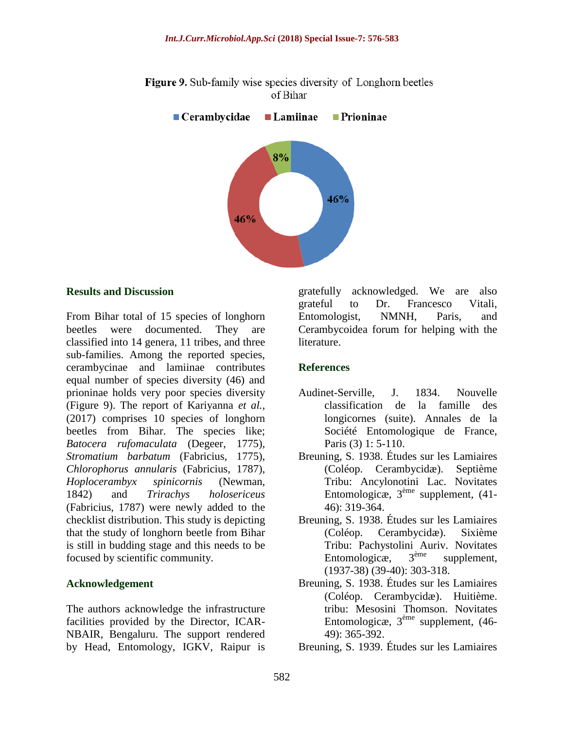

**Figure 9.** Sub-family wise species diversity of Longhorn beetles of Bihar

#### **Results and Discussion**

From Bihar total of 15 species of longhorn beetles were documented. They are classified into 14 genera, 11 tribes, and three sub-families. Among the reported species, cerambycinae and lamiinae contributes equal number of species diversity (46) and prioninae holds very poor species diversity (Figure 9). The report of Kariyanna *et al.,* (2017) comprises 10 species of longhorn beetles from Bihar. The species like; *Batocera rufomaculata* (Degeer, 1775), *Stromatium barbatum* (Fabricius, 1775), *Chlorophorus annularis* (Fabricius, 1787), *Hoplocerambyx spinicornis* (Newman, 1842) and *Trirachys holosericeus* (Fabricius, 1787) were newly added to the checklist distribution. This study is depicting that the study of longhorn beetle from Bihar is still in budding stage and this needs to be focused by scientific community.

### **Acknowledgement**

The authors acknowledge the infrastructure facilities provided by the Director, ICAR-NBAIR, Bengaluru. The support rendered by Head, Entomology, IGKV, Raipur is

gratefully acknowledged. We are also grateful to Dr. Francesco Vitali, Entomologist, NMNH, Paris, and Cerambycoidea forum for helping with the literature.

### **References**

- Audinet-Serville, J. 1834. Nouvelle classification de la famille des longicornes (suite). Annales de la Société Entomologique de France, Paris (3) 1: 5-110.
- Breuning, S. 1938. Études sur les Lamiaires (Coléop. Cerambycidæ). Septième Tribu: Ancylonotini Lac. Novitates Entomologicæ,  $3^{<sup>ème</sup> supplement, (41-$ 46): 319-364.
- Breuning, S. 1938. Études sur les Lamiaires (Coléop. Cerambycidæ). Sixième Tribu: Pachystolini Auriv. Novitates<br>Entomologicæ.  $3^{eme}$  supplement. Entomologicæ,  $3<sup>eme</sup>$  supplement, (1937-38) (39-40): 303-318.
- Breuning, S. 1938. Études sur les Lamiaires (Coléop. Cerambycidæ). Huitième. tribu: Mesosini Thomson. Novitates Entomologicæ, 3ème supplement, (46- 49): 365-392.
- Breuning, S. 1939. Études sur les Lamiaires